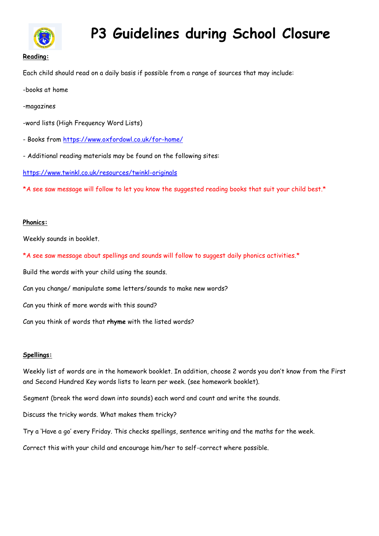

# **P3 Guidelines during School Closure**

## Each child should read on a daily basis if possible from a range of sources that may include:

-books at home

- -magazines
- -word lists (High Frequency Word Lists)
- Books from<https://www.oxfordowl.co.uk/for-home/>
- Additional reading materials may be found on the following sites:

<https://www.twinkl.co.uk/resources/twinkl-originals>

\*A see saw message will follow to let you know the suggested reading books that suit your child best.\*

#### **Phonics:**

Weekly sounds in booklet.

\*A see saw message about spellings and sounds will follow to suggest daily phonics activities.\*

Build the words with your child using the sounds.

Can you change/ manipulate some letters/sounds to make new words?

Can you think of more words with this sound?

Can you think of words that **rhyme** with the listed words?

#### **Spellings:**

Weekly list of words are in the homework booklet. In addition, choose 2 words you don't know from the First and Second Hundred Key words lists to learn per week. (see homework booklet).

Segment (break the word down into sounds) each word and count and write the sounds.

Discuss the tricky words. What makes them tricky?

Try a 'Have a go' every Friday. This checks spellings, sentence writing and the maths for the week.

Correct this with your child and encourage him/her to self-correct where possible.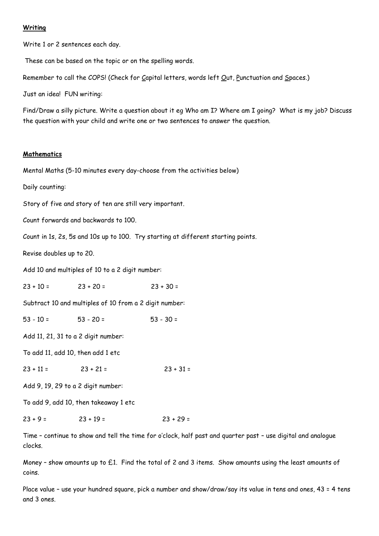#### **Writing**

Write 1 or 2 sentences each day.

These can be based on the topic or on the spelling words.

Remember to call the COPS! (Check for Capital letters, words left Out, Punctuation and Spaces.)

Just an idea! FUN writing:

Find/Draw a silly picture. Write a question about it eg Who am I? Where am I going? What is my job? Discuss the question with your child and write one or two sentences to answer the question.

#### **Mathematics**

Mental Maths (5-10 minutes every day-choose from the activities below)

Daily counting:

Story of five and story of ten are still very important.

Count forwards and backwards to 100.

Count in 1s, 2s, 5s and 10s up to 100. Try starting at different starting points.

Revise doubles up to 20.

Add 10 and multiples of 10 to a 2 digit number:

 $23 + 10 = 23 + 20 = 23 + 30 =$ 

Subtract 10 and multiples of 10 from a 2 digit number:

 $53 - 10 = 53 - 20 = 53 - 30 = 53$ 

Add 11, 21, 31 to a 2 digit number:

To add 11, add 10, then add 1 etc

 $23 + 11 = 23 + 21 = 23 + 31 =$ 

Add 9, 19, 29 to a 2 digit number:

To add 9, add 10, then takeaway 1 etc

 $23 + 9 = 23 + 19 = 23 + 29 =$ 

Time – continue to show and tell the time for o'clock, half past and quarter past – use digital and analogue clocks.

Money – show amounts up to £1. Find the total of 2 and 3 items. Show amounts using the least amounts of coins.

Place value – use your hundred square, pick a number and show/draw/say its value in tens and ones, 43 = 4 tens and 3 ones.